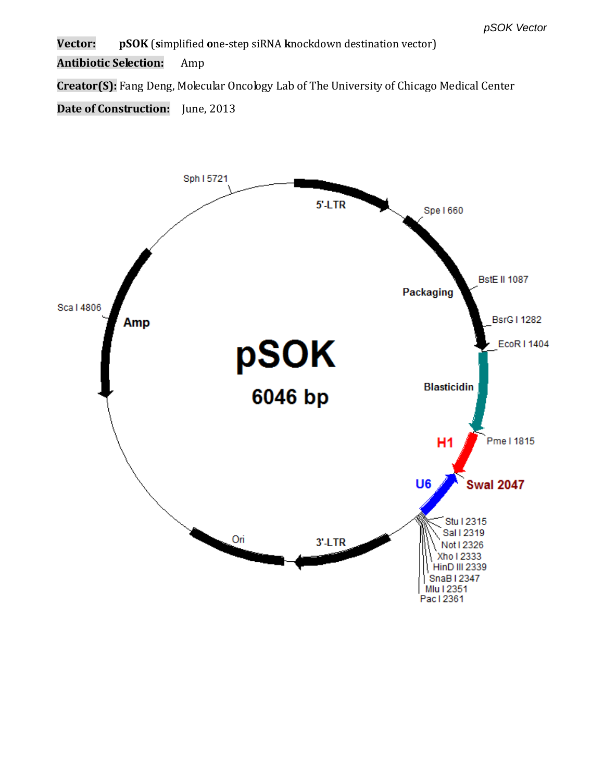**Vector: pSOK** (**s**implified **o**ne-step siRNA **k**nockdown destination vector)

**Antibiotic Selection:** Amp

**Creator(S):** Fang Deng, Molecular Oncology Lab of The University of Chicago Medical Center

**Date of Construction:** June, 2013

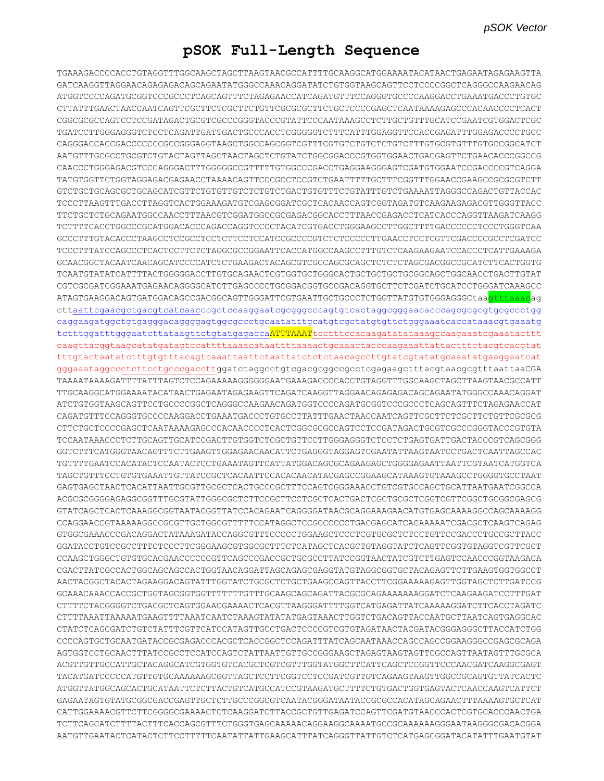## **pSOK Full-Length Sequence**

TGAAAGACCCCACCTGTAGGTTTGGCAAGCTAGCTTAAGTAACGCCATTTTGCAAGGCATGGAAAATACATAACTGAGAATAGAGAAGTTA GATCAAGGTTAGGAACAGAGAGACAGCAGAATATGGGCCAAACAGGATATCTGTGGTAAGCAGTTCCTCCCCGGCTCAGGGCCAAGAACAG ATGGTCCCCAGATGCGGTCCCGCCCTCAGCAGTTTCTAGAGAACCATCAGATGTTTCCAGGGTGCCCCAAGGACCTGAAATGACCCTGTGC CTTATTTGAACTAACCAATCAGTTCGCTTCTCGCTTCTGTTCGCGCGCTTCTGCTCCCCGAGCTCAATAAAAGAGCCCACAACCCCTCACT CGGCGCGCCAGTCCTCCGATAGACTGCGTCGCCCGGGTACCCGTATTCCCAATAAAGCCTCTTGCTGTTTGCATCCGAATCGTGGACTCGC TGATCCTTGGGAGGGTCTCCTCAGATTGATTGACTGCCCACCTCGGGGGTCTTTCATTTGGAGGTTCCACCGAGATTTGGAGACCCCTGCC CAGGGACCACCGACCCCCCCGCCGGGAGGTAAGCTGGCCAGCGGTCGTTTCGTGTCTGTCTCTGTCTTTGTGCGTGTTTGTGCCGGCATCT AATGTTTGCGCCTGCGTCTGTACTAGTTAGCTAACTAGCTCTGTATCTGGCGGACCCGTGGTGGAACTGACGAGTTCTGAACACCCGGCCG CAACCCTGGGAGACGTCCCAGGGACTTTGGGGGCCGTTTTTGTGGCCCGACCTGAGGAAGGGAGTCGATGTGGAATCCGACCCCGTCAGGA TATGTGGTTCTGGTAGGAGACGAGAACCTAAAACAGTTCCCGCCTCCGTCTGAATTTTTGCTTTCGGTTTGGAACCGAAGCCGCGCGTCTT GTCTGCTGCAGCGCTGCAGCATCGTTCTGTGTTGTCTCTGTCTGACTGTGTTTCTGTATTTGTCTGAAAATTAGGGCCAGACTGTTACCAC TCCCTTAAGTTTGACCTTAGGTCACTGGAAAGATGTCGAGCGGATCGCTCACAACCAGTCGGTAGATGTCAAGAAGAGACGTTGGGTTACC TTCTGCTCTGCAGAATGGCCAACCTTTAACGTCGGATGGCCGCGAGACGGCACCTTTAACCGAGACCTCATCACCCAGGTTAAGATCAAGG TCTTTTCACCTGGCCCGCATGGACACCCAGACCAGGTCCCCTACATCGTGACCTGGGAAGCCTTGGCTTTTGACCCCCCTCCCTGGGTCAA GCCCTTTGTACACCCTAAGCCTCCGCCTCCTCTTCCTCCATCCGCCCCGTCTCTCCCCCTTGAACCTCCTCGTTCGACCCCGCCTCGATCC TCCCTTTATCCAGCCCTCACTCCTTCTCTAGGCGCCGGAATTCACCATGGCCAAGCCTTTGTCTCAAGAAGAATCCACCCTCATTGAAAGA GCAACGGCTACAATCAACAGCATCCCCATCTCTGAAGACTACAGCGTCGCCAGCGCAGCTCTCTCTAGCGACGGCCGCATCTTCACTGGTG TCAATGTATATCATTTTACTGGGGGACCTTGTGCAGAACTCGTGGTGCTGGGCACTGCTGCTGCTGCGGCAGCTGGCAACCTGACTTGTAT CGTCGCGATCGGAAATGAGAACAGGGGCATCTTGAGCCCCTGCGGACGGTGCCGACAGGTGCTTCTCGATCTGCATCCTGGGATCAAAGCC ATAGTGAAGGACAGTGATGGACAGCCGACGGCAGTTGGGATTCGTGAATTGCTGCCCTCTGGTTATGTGTGGGAGGGCtaa<mark>gtttaaac</mark>ag cttaattcgaacgctgacgtcatcaacccgctccaaggaatcgcgggcccagtgtcactaggcgggaacacccagcgcgcgtgcgccctgg caggaagatggctgtgagggacaggggagtggcgccctgcaatatttgcatgtcgctatgtgttctgggaaatcaccataaacgtgaaatg tctttggatttgggaatcttataagttctgtatgagacca<mark>ATTTAAAT</mark>tcctttccacaagatatataaagccaagaaatcgaaatacttt caagttacggtaagcatatgatagtccattttaaaacataattttaaaactgcaaactacccaagaaattattactttctacgtcacgtat tttgtactaatatctttgtgtttacagtcaaattaattctaattatctctctaacagccttgtatcgtatatgcaaatatgaaggaatcat gggaaataggccctcttcctgcccgaccttggatctaggcctgtcgacgcggccgcctcgagaagctttacgtaacgcgtttaattaaCGA TAAAATAAAAGATTTTATTTAGTCTCCAGAAAAAGGGGGGAATGAAAGACCCCACCTGTAGGTTTGGCAAGCTAGCTTAAGTAACGCCATT TTGCAAGGCATGGAAAATACATAACTGAGAATAGAGAAGTTCAGATCAAGGTTAGGAACAGAGAGACAGCAGAATATGGGCCAAACAGGAT ATCTGTGGTAAGCAGTTCCTGCCCCGGCTCAGGGCCAAGAACAGATGGTCCCCAGATGCGGTCCCGCCCTCAGCAGTTTCTAGAGAACCAT CAGATGTTTCCAGGGTGCCCCAAGGACCTGAAATGACCCTGTGCCTTATTTGAACTAACCAATCAGTTCGCTTCTCGCTTCTGTTCGCGCG CTTCTGCTCCCCGAGCTCAATAAAAGAGCCCACAACCCCTCACTCGGCGCGCCAGTCCTCCGATAGACTGCGTCGCCCGGGTACCCGTGTA TCCAATAAACCCTCTTGCAGTTGCATCCGACTTGTGGTCTCGCTGTTCCTTGGGAGGGTCTCCTCTGAGTGATTGACTACCCGTCAGCGGG GGTCTTTCATGGGTAACAGTTTCTTGAAGTTGGAGAACAACATTCTGAGGGTAGGAGTCGAATATTAAGTAATCCTGACTCAATTAGCCAC TGTTTTGAATCCACATACTCCAATACTCCTGAAATAGTTCATTATGGACAGCGCAGAAGAGCTGGGGAGAATTAATTCGTAATCATGGTCA TAGCTGTTTCCTGTGTGAAATTGTTATCCGCTCACAATTCCACACAACATACGAGCCGGAAGCATAAAGTGTAAAGCCTGGGGTGCCTAAT GAGTGAGCTAACTCACATTAATTGCGTTGCGCTCACTGCCCGCTTTCCAGTCGGGAAACCTGTCGTGCCAGCTGCATTAATGAATCGGCCA ACGCGCGGGGAGAGGCGGTTTGCGTATTGGGCGCTCTTCCGCTTCCTCGCTCACTGACTCGCTGCGCTCGGTCGTTCGGCTGCGGCGAGCG GTATCAGCTCACTCAAAGGCGGTAATACGGTTATCCACAGAATCAGGGGATAACGCAGGAAAGAACATGTGAGCAAAAGGCCAGCAAAAGG CCAGGAACCGTAAAAAGGCCGCGTTGCTGGCGTTTTTCCATAGGCTCCGCCCCCCTGACGAGCATCACAAAAATCGACGCTCAAGTCAGAG GTGGCGAAACCCGACAGGACTATAAAGATACCAGGCGTTTCCCCCTGGAAGCTCCCTCGTGCGCTCTCCTGTTCCGACCCTGCCGCTTACC GGATACCTGTCCGCCTTTCTCCCTTCGGGAAGCGTGGCGCTTTCTCATAGCTCACGCTGTAGGTATCTCAGTTCGGTGTAGGTCGTTCGCT CCAAGCTGGGCTGTGTGCACGAACCCCCCGTTCAGCCCGACCGCTGCGCCTTATCCGGTAACTATCGTCTTGAGTCCAACCCGGTAAGACA CGACTTATCGCCACTGGCAGCAGCCACTGGTAACAGGATTAGCAGAGCGAGGTATGTAGGCGGTGCTACAGAGTTCTTGAAGTGGTGGCCT AACTACGGCTACACTAGAAGGACAGTATTTGGTATCTGCGCTCTGCTGAAGCCAGTTACCTTCGGAAAAAGAGTTGGTAGCTCTTGATCCG GCAAACAAACCACCGCTGGTAGCGGTGGTTTTTTTGTTTGCAAGCAGCAGATTACGCGCAGAAAAAAAGGATCTCAAGAAGATCCTTTGAT CTTTTCTACGGGGTCTGACGCTCAGTGGAACGAAAACTCACGTTAAGGGATTTTGGTCATGAGATTATCAAAAAGGATCTTCACCTAGATC CTTTTAAATTAAAAATGAAGTTTTAAATCAATCTAAAGTATATATGAGTAAACTTGGTCTGACAGTTACCAATGCTTAATCAGTGAGGCAC CTATCTCAGCGATCTGTCTATTTCGTTCATCCATAGTTGCCTGACTCCCCGTCGTGTAGATAACTACGATACGGGAGGGCTTACCATCTGG CCCCAGTGCTGCAATGATACCGCGAGACCCACGCTCACCGGCTCCAGATTTATCAGCAATAAACCAGCCAGCCGGAAGGGCCGAGCGCAGA AGTGGTCCTGCAACTTTATCCGCCTCCATCCAGTCTATTAATTGTTGCCGGGAAGCTAGAGTAAGTAGTTCGCCAGTTAATAGTTTGCGCA ACGTTGTTGCCATTGCTACAGGCATCGTGGTGTCACGCTCGTCGTTTGGTATGGCTTCATTCAGCTCCGGTTCCCAACGATCAAGGCGAGT TACATGATCCCCCATGTTGTGCAAAAAAGCGGTTAGCTCCTTCGGTCCTCCGATCGTTGTCAGAAGTAAGTTGGCCGCAGTGTTATCACTC ATGGTTATGGCAGCACTGCATAATTCTCTTACTGTCATGCCATCCGTAAGATGCTTTTCTGTGACTGGTGAGTACTCAACCAAGTCATTCT GAGAATAGTGTATGCGGCGACCGAGTTGCTCTTGCCCGGCGTCAATACGGGATAATACCGCGCCACATAGCAGAACTTTAAAAGTGCTCAT CATTGGAAAACGTTCTTCGGGGCGAAAACTCTCAAGGATCTTACCGCTGTTGAGATCCAGTTCGATGTAACCCACTCGTGCACCCAACTGA TCTTCAGCATCTTTTACTTTCACCAGCGTTTCTGGGTGAGCAAAAACAGGAAGGCAAAATGCCGCAAAAAAGGGAATAAGGGCGACACGGA AATGTTGAATACTCATACTCTTCCTTTTTCAATATTATTGAAGCATTTATCAGGGTTATTGTCTCATGAGCGGATACATATTTGAATGTAT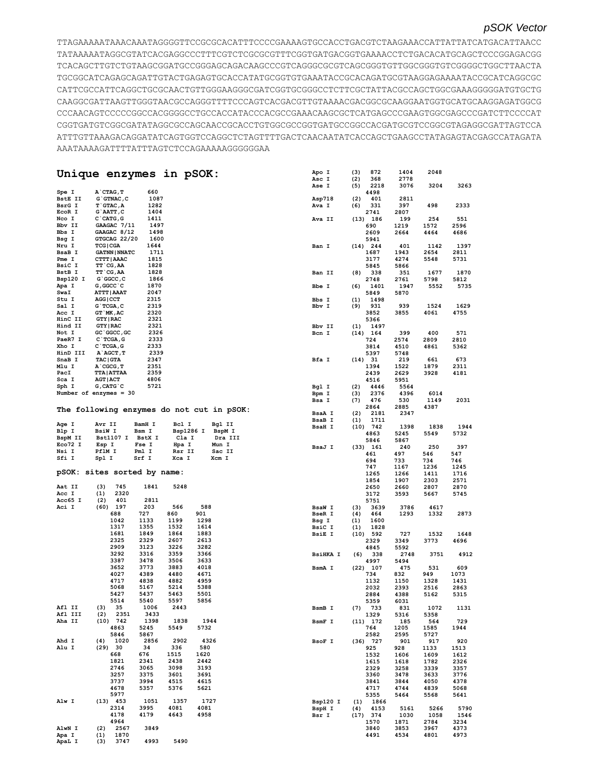## *pSOK Vector*

TTAGAAAAATAAACAAATAGGGGTTCCGCGCACATTTCCCCGAAAAGTGCCACCTGACGTCTAAGAAACCATTATTATCATGACATTAACC TATAAAAATAGGCGTATCACGAGGCCCTTTCGTCTCGCGCGTTTCGGTGATGACGGTGAAAACCTCTGACACATGCAGCTCCCGGAGACGG TCACAGCTTGTCTGTAAGCGGATGCCGGGAGCAGACAAGCCCGTCAGGGCGCGTCAGCGGGTGTTGGCGGGTGTCGGGGCTGGCTTAACTA TGCGGCATCAGAGCAGATTGTACTGAGAGTGCACCATATGCGGTGTGAAATACCGCACAGATGCGTAAGGAGAAAATACCGCATCAGGCGC CATTCGCCATTCAGGCTGCGCAACTGTTGGGAAGGGCGATCGGTGCGGGCCTCTTCGCTATTACGCCAGCTGGCGAAAGGGGGATGTGCTG CAAGGCGATTAAGTTGGGTAACGCCAGGGTTTTCCCAGTCACGACGTTGTAAAACGACGGCGCAAGGAATGGTGCATGCAAGGAGATGGCG CCCAACAGTCCCCCGGCCACGGGGCCTGCCACCATACCCACGCCGAAACAAGCGCTCATGAGCCCGAAGTGGCGAGCCCGATCTTCCCCAT CGGTGATGTCGGCGATATAGGCGCCAGCAACCGCACCTGTGGCGCCGGTGATGCCGGCCACGATGCGTCCGGCGTAGAGGCGATTAGTCCA ATTTGTTAAAGACAGGATATCAGTGGTCCAGGCTCTAGTTTTGACTCAACAATATCACCAGCTGAAGCCTATAGAGTACGAGCCATAGATA AAATAAAAGATTTTATTTAGTCTCCAGAAAAAGGGGGGAA

|                  | Unique enzymes in pSOK:                   |              |              |              |         | Apo I<br>Asc I                 | 872<br>(3)<br>(2)<br>368   | 1404<br>2778 | 2048         |             |
|------------------|-------------------------------------------|--------------|--------------|--------------|---------|--------------------------------|----------------------------|--------------|--------------|-------------|
|                  |                                           |              |              |              |         | Ase I                          | 2218<br>(5)                | 3076         | 3204         | 3263        |
| Spe I            | A CTAG, T                                 | 660          |              |              |         |                                | 4498                       |              |              |             |
| BstE II          | $G$ GTNAC, $C$                            | 1087         |              |              |         | Asp718                         | (2)<br>401                 | 2811         |              |             |
| BsrG I           | $T$ GTAC, A                               | 1282         |              |              |         | Ava I                          | (6)<br>331                 | 397          | 498          | 2333        |
| EcoR I           | G`AATT, C                                 | 1404         |              |              |         |                                | 2741                       | 2807         |              |             |
| Nco I            | C CATG, G                                 | 1411         |              |              |         | Ava II                         | $(13)$ 186                 | 199          | 254          | 551         |
| Bbv II           | GAAGAC 7/11                               | 1497         |              |              |         |                                | 690                        | 1219         | 1572         | 2596        |
| Bbs I            | GAAGAC 8/12                               | 1498         |              |              |         |                                | 2609                       | 2664         | 4464         | 4686        |
| Bsg I            | GTGCAG 22/20                              | 1600         |              |              |         |                                | 5941                       |              |              |             |
| Nru I            | <b>TCG   CGA</b>                          | 1644         |              |              |         | Ban I                          | $(14)$ 244                 | 401          | 1142         | 1397        |
| BsaB I           | <b>GATNN   NNATC</b>                      | 1711         |              |              |         |                                | 1687                       | 1943         | 2654         | 2811        |
| Pme I            | CTTT   AAAC                               | 1815         |              |              |         |                                | 3177                       | 4274         | 5548         | 5731        |
| BsiC I           | TT CG, AA                                 | 1828         |              |              |         |                                | 5845                       | 5866         |              |             |
| BstB I           | TT`CG, AA                                 | 1828         |              |              |         | Ban II                         | 338<br>(8)                 | 351          | 1677         | 1870        |
| Bsp120 I         | $G$ $GC$ , $C$                            | 1866         |              |              |         |                                | 2748                       | 2761         | 5798         | 5812        |
| Apa I            | G, GGCC `C                                | 1870         |              |              |         | Bbe I                          | 1401<br>(6)                | 1947         | 5552         | 5735        |
| SwaI             | <b>ATTT   AAAT</b>                        | 2047         |              |              |         |                                | 5849                       | 5870         |              |             |
| Stu I            | AGG   CCT                                 | 2315         |              |              |         | Bbs I                          | 1498<br>(1)                |              |              |             |
| Sal I            | $G$ TCGA, $C$                             | 2319         |              |              |         | Bbv I                          | (9)<br>931                 | 939          | 1524         | 1629        |
| Acc I            | GT `MK, AC                                | 2320         |              |              |         |                                | 3852                       | 3855         | 4061         | 4755        |
| HinC II          | <b>GTY   RAC</b>                          | 2321         |              |              |         |                                | 5366                       |              |              |             |
| Hind II          | <b>GTY   RAC</b>                          | 2321         |              |              |         | Bbv II                         | (1)<br>1497                |              |              |             |
| Not I            | GC `GGCC, GC                              | 2326         |              |              |         | Bcn I                          | $(14)$ 164                 | 399          | 400          | 571         |
| PaeR7 I          | $C$ TCGA, G                               | 2333         |              |              |         |                                | 724                        | 2574         | 2809         | 2810        |
| Xho I            | $C$ TCGA, G                               | 2333         |              |              |         |                                | 3814                       | 4510         | 4861         | 5362        |
| HinD III         | A AGCT, T                                 | 2339         |              |              |         |                                | 5397                       | 5748         |              |             |
| SnaB I           | <b>TAC   GTA</b>                          | 2347         |              |              |         | Bfa I                          | $(14)$ 31                  | 219          | 661          | 673         |
| Mlu I            | $A$ $CGCG, T$                             | 2351         |              |              |         |                                | 1394                       | 1522         | 1879         | 2311        |
| PacI             | <b>TTA ATTAA</b>                          | 2359         |              |              |         |                                | 2439                       | 2629         | 3928         | 4181        |
| Sca I            | <b>AGT   ACT</b>                          | 4806         |              |              |         |                                | 4516                       | 5951         |              |             |
| Sph I            | $G$ , CAT $G$ $C$                         | 5721         |              |              |         | Bgl I                          | (2)<br>4446                | 5564         |              |             |
|                  | Number of enzymes = $30$                  |              |              |              |         | Bpm I                          | (3)<br>2376                | 4396         | 6014         |             |
|                  |                                           |              |              |              |         | Bsa I                          | (7)<br>476                 | 530          | 1149         | 2031        |
|                  |                                           |              |              |              |         |                                | 2864                       | 2885         | 4387         |             |
|                  | The following enzymes do not cut in pSOK: |              |              |              |         | BsaA I                         | (2)<br>2181                | 2347         |              |             |
|                  |                                           |              |              |              |         | <b>BsaB</b> I                  | (1)<br>1711                |              |              |             |
| Age I            | Avr II                                    | BamH I       | Bcl I        | Bgl II       |         |                                | (10)<br>742                | 1398         | 1838         | 1944        |
| Blp I            | <b>BsiW I</b>                             | Bsm I        | Bsp1286 I    |              | BspM I  | <b>BsaH I</b>                  | 4863                       | 5245         | 5549         | 5732        |
| BspM II          | <b>Bst1107 I</b>                          | BstX I       | Cla I        |              | Dra III |                                | 5846                       | 5867         |              |             |
| Eco72 I          | Esp I                                     | Fse I        | Hpa I        | Mun I        |         | BsaJ I                         |                            | 240          | 250          | 397         |
| Nsi I            | PflM I                                    | Pml I        | Rsr II       | Sac II       |         |                                | (33) 161                   |              |              |             |
| Sfi I            | Spl I                                     | Srf I        | Xca I        | Xcm I        |         |                                | 461<br>694                 | 497<br>733   | 546<br>734   | 547<br>746  |
|                  |                                           |              |              |              |         |                                | 747                        |              |              | 1245        |
|                  | pSOK: sites sorted by name:               |              |              |              |         |                                |                            | 1167         | 1236         |             |
|                  |                                           |              |              |              |         |                                | 1265                       | 1266         | 1411         | 1716        |
| Aat II           |                                           | 1841         | 5248         |              |         |                                | 1854                       | 1907         | 2303         | 2571        |
|                  | (3)<br>745<br>2320                        |              |              |              |         |                                | 2650                       | 2660         | 2807         | 2870        |
| Acc I<br>Acc65 I | (1)<br>(2)<br>401                         | 2811         |              |              |         |                                | 3172                       | 3593         | 5667         | 5745        |
| Aci I            | $(60)$ 197                                | 203          | 566          | 588          |         |                                | 5751                       |              |              |             |
|                  | 688                                       | 727          | 860          | 901          |         | <b>BsaW I</b><br><b>BseR I</b> | (3)<br>3639<br>(4)<br>464  | 3786<br>1293 | 4617<br>1332 | 2873        |
|                  | 1042                                      | 1133         | 1199         | 1298         |         |                                |                            |              |              |             |
|                  | 1317                                      | 1355         | 1532         | 1614         |         | Bsg I                          | (1)<br>1600                |              |              |             |
|                  | 1681                                      | 1849         | 1864         | 1883         |         | BsiC I<br><b>BsiE I</b>        | 1828<br>(1)<br>(10)<br>592 | 727          | 1532         | 1648        |
|                  | 2325                                      | 2329         | 2607         | 2613         |         |                                | 2329                       | 3349         | 3773         | 4696        |
|                  | 2909                                      | 3123         | 3226         | 3282         |         |                                | 4845                       | 5592         |              |             |
|                  | 3292                                      | 3316         | 3359         | 3366         |         | <b>BsiHKA I</b>                | (6)<br>338                 | 2748         | 3751         | 4912        |
|                  | 3387                                      | 3478         | 3506         | 3633         |         |                                | 4997                       | 5494         |              |             |
|                  | 3652                                      | 3773         | 3883         | 4018         |         | BsmA I                         | $(22)$ 107                 | 475          | 531          | 609         |
|                  | 4027                                      | 4389         | 4480         | 4671         |         |                                | 734                        | 832          | 949          | 1073        |
|                  | 4717                                      | 4838         | 4882         | 4959         |         |                                | 1132                       | 1150         | 1328         | 1431        |
|                  | 5068                                      | 5167         | 5214         | 5388         |         |                                | 2032                       | 2393         | 2516         | 2863        |
|                  | 5427                                      | 5437         | 5463         | 5501         |         |                                | 2884                       | 4388         | 5162         | 5315        |
|                  | 5514                                      | 5540         | 5597         | 5856         |         |                                | 5359                       | 6031         |              |             |
| Afl II           | (3)<br>35                                 | 1006         | 2443         |              |         | BsmB I                         | 733                        | 831          | 1072         | 1131        |
| Afl III          | $(2)$ 2351                                | 3433         |              |              |         |                                | (7)                        |              |              |             |
| Aha II           | $(10)$ 742                                | 1398         | 1838         | 1944         |         |                                | 1329                       | 5316         | 5358         |             |
|                  | 4863                                      | 5245         | 5549         |              |         | BsmF I                         | $(11)$ 172<br>764          | 185          | 564          | 729<br>1944 |
|                  | 5846                                      | 5867         |              | 5732         |         |                                |                            | 1205         | 1585         |             |
| Ahd I            | (4)<br>1020                               | 2856         | 2902         | 4326         |         | BsoF I                         | 2582                       | 2595         | 5727         |             |
| Alu I            | (29) 30                                   | 34           | 336          | 580          |         |                                | $(36)$ 727<br>925          | 901<br>928   | 917<br>1133  | 920<br>1513 |
|                  | 668                                       | 676          | 1515         | 1620         |         |                                |                            |              |              |             |
|                  | 1821                                      | 2341         | 2438         | 2442         |         |                                | 1532                       | 1606         | 1609         | 1612        |
|                  | 2746                                      | 3065         | 3098         | 3193         |         |                                | 1615                       | 1618         | 1782         | 2326        |
|                  | 3257                                      | 3375         | 3601         | 3691         |         |                                | 2329                       | 3258         | 3339         | 3357        |
|                  |                                           | 3994         |              |              |         |                                | 3360                       | 3478         | 3633         | 3776        |
|                  | 3737                                      |              | 4515         | 4615         |         |                                | 3841                       | 3844         | 4050         | 4378        |
|                  | 4678                                      | 5357         | 5376         | 5621         |         |                                | 4717                       | 4744         | 4839         | 5068        |
|                  | 5977                                      |              |              |              |         |                                | 5355                       | 5464         | 5568         | 5641        |
| Alw I            | $(13)$ 453                                | 1051         | 1357         | 1727         |         | Bsp120 I                       | 1866<br>(1)                |              |              |             |
|                  | 2314<br>4178                              | 3995<br>4179 | 4081<br>4643 | 4081<br>4958 |         | BspH I                         | 4153<br>(4)<br>$(17)$ 374  | 5161         | 5266         | 5790        |
|                  | 4964                                      |              |              |              |         | Bsr I                          |                            | 1030         | 1058         | 1546        |
| AlwN I           |                                           | 3849         |              |              |         |                                | 1570                       | 1871         | 2784         | 3234        |
|                  | 2567<br>(2)                               |              |              |              |         |                                | 3840                       | 3853         | 3967         | 4373        |
| Apa I<br>ApaL I  | 1870<br>(1)<br>(3)<br>3747                | 4993         | 5490         |              |         |                                | 4491                       | 4534         | 4801         | 4973        |
|                  |                                           |              |              |              |         |                                |                            |              |              |             |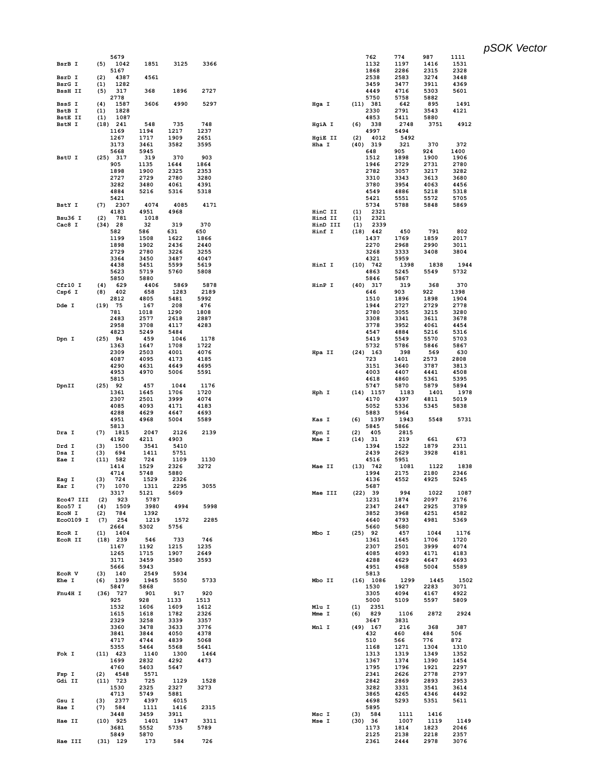|                | 5679               |             |      |      |          | 762          | 774          | 987          | 1111         |
|----------------|--------------------|-------------|------|------|----------|--------------|--------------|--------------|--------------|
| BsrB I         | (5)<br>1042        | 1851        | 3125 | 3366 |          | 1132         | 1197         | 1416         | 1531         |
|                | 5167               |             |      |      |          | 1868         | 2286         | 2315         | 2328         |
| BsrD I         | 4387<br>(2)        | 4561        |      |      |          | 2538         | 2583         | 3274         | 3448         |
| BsrG I         | 1282<br>(1)        |             |      |      |          | 3459         | 3477         | 3911         | 4369         |
| <b>BssH II</b> | 317<br>(5)         | 368         | 1896 | 2727 |          | 4449         | 4716         | 5303         | 5601         |
|                | 2778               |             |      |      |          | 5750         | 5758         | 5882         |              |
| BssS I         | (4)<br>1587        | 3606        | 4990 | 5297 | Hga I    | (11) 381     | 642          | 895          | 1491         |
|                |                    |             |      |      |          |              |              |              |              |
| BstB I         | (1)<br>1828        |             |      |      |          | 2330         | 2791         | 3543         | 4121         |
| <b>BstE II</b> | (1)<br>1087        |             |      |      |          | 4853         | 5411         | 5880         |              |
| BstN I         | $(18)$ 241         | 548         | 735  | 748  | HgiA I   | 338<br>(6)   | 2748         | 3751         | 4912         |
|                | 1169               | 1194        | 1217 | 1237 |          | 4997         | 5494         |              |              |
|                | 1267               | 1717        | 1909 | 2651 | HgiE II  | 4012<br>(2)  | 5492         |              |              |
|                | 3173               | 3461        | 3582 | 3595 | Hha I    | $(40)$ 319   | 321          | 370          | 372          |
|                | 5668               | 5945        |      |      |          | 648          | 905          | 924          | 1400         |
| BstU I         | $(25)$ 317         | 319         | 370  | 903  |          | 1512         | 1898         | 1900         | 1906         |
|                |                    |             |      |      |          |              |              |              |              |
|                | 905                | 1135        | 1644 | 1864 |          | 1946         | 2729         | 2731         | 2780         |
|                | 1898               | 1900        | 2325 | 2353 |          | 2782         | 3057         | 3217         | 3282         |
|                | 2727               | 2729        | 2780 | 3280 |          | 3310         | 3343         | 3613         | 3680         |
|                | 3282               | 3480        | 4061 | 4391 |          | 3780         | 3954         | 4063         | 4456         |
|                | 4884               | 5216        | 5316 | 5318 |          | 4549         | 4886         | 5218         | 5318         |
|                | 5421               |             |      |      |          | 5421         | 5551         | 5572         | 5705         |
| BstY I         | (7)<br>2307        | 4074        | 4085 | 4171 |          | 5734         | 5788         | 5848         | 5869         |
|                | 4183               | 4951        | 4968 |      | HinC II  | 2321<br>(1)  |              |              |              |
| Bsu36 I        | (2)<br>781         | 1018        |      |      | Hind II  | 2321<br>(1)  |              |              |              |
|                |                    |             |      | 370  |          |              |              |              |              |
| Cac8 I         | 28<br>(34)         | 32          | 319  |      | HinD III | 2339<br>(1)  |              |              |              |
|                | 582                | 586         | 631  | 650  | Hinf I   | (18)<br>442  | 450          | 791          | 802          |
|                | 1199               | 1508        | 1622 | 1866 |          | 1437         | 1769         | 1859         | 2017         |
|                | 1898               | 1902        | 2436 | 2440 |          | 2270         | 2968         | 2990         | 3011         |
|                | 2729               | 2780        | 3226 | 3255 |          | 3268         | 3333         | 3408         | 3804         |
|                | 3364               | 3450        | 3487 | 4047 |          | 4321         | 5959         |              |              |
|                | 4438               | 5451        | 5599 | 5619 | HinI I   | $(10)$ 742   | 1398         | 1838         | 1944         |
|                | 5623               | 5719        | 5760 | 5808 |          | 4863         | 5245         | 5549         | 5732         |
|                |                    |             |      |      |          |              |              |              |              |
|                | 5850               | 5880        |      |      |          | 5846         | 5867         |              |              |
| Cfr10 I        | (4)<br>629         | 4406        | 5869 | 5878 | HinP I   | $(40)$ 317   | 319          | 368          | 370          |
| Csp6 I         | 402<br>(8)         | 658         | 1283 | 2189 |          | 646          | 903          | 922          | 1398         |
|                | 2812               | 4805        | 5481 | 5992 |          | 1510         | 1896         | 1898         | 1904         |
| Dde I          | $(19)$ 75          | 167         | 208  | 476  |          | 1944         | 2727         | 2729         | 2778         |
|                | 781                | 1018        | 1290 | 1808 |          | 2780         | 3055         | 3215         | 3280         |
|                | 2483               | 2577        | 2618 | 2887 |          | 3308         | 3341         | 3611         | 3678         |
|                | 2958               | 3708        | 4117 | 4283 |          | 3778         | 3952         | 4061         | 4454         |
|                |                    |             |      |      |          |              |              |              |              |
|                | 4823               | 5249        | 5484 |      |          | 4547         | 4884         | 5216         | 5316         |
| Dpn I          | $(25)$ 94          | 459         | 1046 | 1178 |          | 5419         | 5549         | 5570         | 5703         |
|                | 1363               | 1647        | 1708 | 1722 |          | 5732         | 5786         | 5846         | 5867         |
|                | 2309               | 2503        | 4001 | 4076 | Hpa II   | $(24)$ 163   | 398          | 569          | 630          |
|                | 4087               | 4095        | 4173 | 4185 |          | 723          | 1401         | 2573         | 2808         |
|                | 4290               | 4631        | 4649 | 4695 |          | 3151         | 3640         | 3787         | 3813         |
|                | 4953               | 4970        | 5006 | 5591 |          | 4003         | 4407         | 4441         | 4508         |
|                | 5815               |             |      |      |          | 4618         | 4860         | 5361         | 5395         |
| DpnII          | $(25)$ 92          | 457         | 1044 | 1176 |          | 5747         | 5870         | 5879         | 5894         |
|                | 1361               | 1645        | 1706 | 1720 | Hph I    | $(14)$ 1157  | 1183         | 1401         | 1978         |
|                | 2307               | 2501        | 3999 | 4074 |          | 4170         | 4397         | 4811         | 5019         |
|                |                    |             |      |      |          |              |              |              |              |
|                | 4085               | 4093        | 4171 | 4183 |          | 5052         | 5336         | 5345         | 5838         |
|                | 4288               | 4629        | 4647 | 4693 |          | 5883         | 5964         |              |              |
|                | 4951               | 4968        | 5004 | 5589 | Kas I    | 1397<br>(6)  | 1943         | 5548         | 5731         |
|                | 5813               |             |      |      |          | 5845         | 5866         |              |              |
| Dra I          | (7)<br>1815        | 2047        | 2126 | 2139 | Kpn I    | 405<br>(2)   | 2815         |              |              |
|                | 4192               | 4211        | 4903 |      | Mae I    | (14) 31      | 219          | 661          | 673          |
| Drd I          | 1500<br>(3)        | 3541        | 5410 |      |          | 1394         | 1522         | 1879         | 2311         |
| Dsa I          | (3)<br>694         |             | 5751 |      |          | 2439         | 2629         | 3928         | 4181         |
|                |                    |             |      |      |          |              |              |              |              |
|                |                    | 1411        |      |      |          |              |              |              |              |
| Eae I          | $(11)$ 582         | 724         | 1109 | 1130 |          | 4516         | 5951         |              |              |
|                | 1414               | 1529        | 2326 | 3272 | Mae II   | $(13)$ 742   | 1081         | 1122         | 1838         |
|                | 4714               | 5748        | 5880 |      |          | 1994         | 2175         | 2180         | 2346         |
| Eag I          | 724<br>(3)         | 1529        | 2326 |      |          | 4136         | 4552         | 4925         | 5245         |
| Ear I          | 1070<br>(7)        | 1311        | 2295 | 3055 |          | 5687         |              |              |              |
|                | 3317               | 5121        | 5609 |      | Mae III  | (22) 39      | 994          | 1022         | 1087         |
| Eco47 III      | (2)<br>923         | 5787        |      |      |          | 1231         | 1874         | 2097         | 2176         |
| Eco57 I        | (4)<br>1509        | 3980        | 4994 | 5998 |          | 2347         | 2447         | 2925         | 3789         |
| EcoN I         | 784<br>(2)         | 1392        |      |      |          | 3852         | 3968         | 4251         | 4582         |
| Eco0109 I      |                    |             | 1572 | 2285 |          |              |              | 4981         |              |
|                | 254<br>(7)         | 1219        |      |      |          | 4640         | 4793         |              | 5369         |
|                | 2664               | 5302        | 5756 |      |          | 5660         | 5680         |              |              |
| EcoR I         | 1404<br>(1)        |             |      |      | Mbo I    | $(25)$ 92    | 457          | 1044         | 1176         |
| EcoR II        | $(18)$ 239         | 546         | 733  | 746  |          | 1361         | 1645         | 1706         | 1720         |
|                | 1167               | 1192        | 1215 | 1235 |          | 2307         | 2501         | 3999         | 4074         |
|                | 1265               | 1715        | 1907 | 2649 |          | 4085         | 4093         | 4171         | 4183         |
|                | 3171               | 3459        | 3580 | 3593 |          | 4288         | 4629         | 4647         | 4693         |
|                | 5666               | 5943        |      |      |          | 4951         | 4968         | 5004         | 5589         |
| EcoR V         | 140<br>(3)         | 2549        | 5934 |      |          | 5813         |              |              |              |
|                |                    |             |      |      |          |              |              |              |              |
| Ehe I          | (6)<br>1399        | 1945        | 5550 | 5733 | Mbo II   | $(16)$ 1086  | 1299         | 1445         | 1502         |
|                | 5847               | 5868        |      |      |          | 1530         | 1927         | 2283         | 3071         |
| Fnu4H I        | $(36)$ 727         | 901         | 917  | 920  |          | 3305         | 4094         | 4167         | 4922         |
|                | 925                | 928         | 1133 | 1513 |          | 5000         | 5109         | 5597         | 5809         |
|                | 1532               | 1606        | 1609 | 1612 | Mlu I    | 2351<br>(1)  |              |              |              |
|                | 1615               | 1618        | 1782 | 2326 | Mme I    | (6)<br>829   | 1106         | 2872         | 2924         |
|                | 2329               | 3258        | 3339 | 3357 |          | 3647         | 3831         |              |              |
|                | 3360               | 3478        | 3633 | 3776 | Mnl I    | $(49)$ 167   | 216          | 368          | 387          |
|                |                    |             |      | 4378 |          | 432          | 460          | 484          | 506          |
|                | 3841               | 3844        | 4050 |      |          |              |              |              |              |
|                | 4717               | 4744        | 4839 | 5068 |          | 510          | 566          | 776          | 872          |
|                | 5355               | 5464        | 5568 | 5641 |          | 1168         | 1271         | 1304         | 1310         |
| Fok I          | $(11)$ 423         | 1140        | 1300 | 1464 |          | 1313         | 1319         | 1349         | 1352         |
|                | 1699               | 2832        | 4292 | 4473 |          | 1367         | 1374         | 1390         | 1454         |
|                | 4760               | 5403        | 5647 |      |          | 1795         | 1796         | 1921         | 2297         |
| Fsp I          | 4548<br>(2)        | 5571        |      |      |          | 2341         | 2626         | 2778         | 2797         |
| Gdi II         | $(11)$ 723         | 725         | 1129 | 1528 |          | 2842         | 2869         | 2893         | 2953         |
|                | 1530               | 2325        | 2327 | 3273 |          | 3282         | 3331         | 3541         | 3614         |
|                |                    |             |      |      |          |              |              |              |              |
|                | 4713               | 5749        | 5881 |      |          | 3865         | 4265         | 4346         | 4492         |
| Gsu I          | 2377<br>(3)        | 4397        | 6015 |      |          | 4698         | 5293         | 5351         | 5611         |
| Hae I          | 584<br>(7)         | 1111        | 1416 | 2315 |          | 5895         |              |              |              |
|                | 3448               | 3459        | 3911 |      | Msc I    | $(3)$ 584    | 1111         | 1416         |              |
| Hae II         | $(10)$ 925         | 1401        | 1947 | 3311 | Mse I    | (30) 36      | 1007         | 1119         | 1149         |
|                | 3681               | 5552        | 5735 | 5789 |          | 1173         | 1814         | 1823         | 2046         |
| Hae III        | 5849<br>$(31)$ 129 | 5870<br>173 | 584  | 726  |          | 2125<br>2361 | 2138<br>2444 | 2218<br>2978 | 2357<br>3076 |

*pSOK Vector*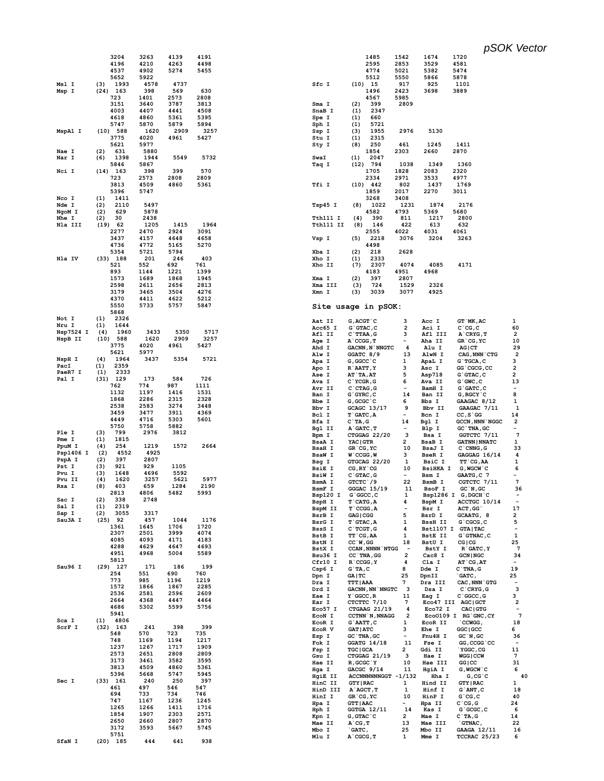pSOK Vector

|           | 3204        | 3263 | 4139 | 4191 |                | 1485                        |
|-----------|-------------|------|------|------|----------------|-----------------------------|
|           | 4196        | 4210 | 4263 | 4498 |                | 2595                        |
|           | 4537        | 4902 | 5274 | 5455 |                | 4774                        |
|           | 5652        | 5922 |      |      |                | 5512                        |
| Msl I     | 1993<br>(3) | 4578 | 4737 |      | Sfc I          | (10)<br>15                  |
| Msp I     | $(24)$ 163  | 398  | 569  | 630  |                | 1496                        |
|           | 723         | 1401 | 2573 | 2808 |                | 4567                        |
|           | 3151        | 3640 | 3787 | 3813 | Sma I          | (2)<br>399                  |
|           | 4003        | 4407 | 4441 | 4508 | SnaB I         | 234<br>(1)                  |
|           | 4618        | 4860 | 5361 | 5395 | Spe I          | 660<br>(1)                  |
|           |             |      |      |      |                |                             |
|           | 5747        | 5870 | 5879 | 5894 | Sph I          | 572<br>(1)                  |
| MspA1 I   | $(10)$ 588  | 1620 | 2909 | 3257 | Ssp I          | 195<br>(3)                  |
|           | 3775        | 4020 | 4961 | 5427 | Stu I          | (1)<br>231                  |
|           | 5621        | 5977 |      |      | Sty I          | 250<br>(8)                  |
| Nae I     | (2)<br>631  | 5880 |      |      |                | 1854                        |
| Nar I     | (6)<br>1398 | 1944 | 5549 | 5732 | SwaI           | 204<br>(1)                  |
|           | 5846        | 5867 |      |      | Taq I          | 794<br>(12)                 |
| Nci I     | $(14)$ 163  | 398  | 399  | 570  |                | 1705                        |
|           | 723         | 2573 | 2808 | 2809 |                | 2334                        |
|           | 3813        | 4509 | 4860 | 5361 | Tfi I          | (10)<br>442                 |
|           |             |      |      |      |                |                             |
|           | 5396        | 5747 |      |      |                | 1859                        |
| Nco I     | (1)<br>1411 |      |      |      |                | 3268                        |
| Nde I     | (2)<br>2110 | 5497 |      |      | Tsp45 I        | (8)<br>102                  |
| NgoM I    | (2)<br>629  | 5878 |      |      |                | 4582                        |
| Nhe I     | (2)<br>30   | 2438 |      |      | Tth111 I       | (4)<br>39                   |
| Nla III   | (19)<br>62  | 1205 | 1415 | 1964 | Tth111 II      | 14<br>(8)                   |
|           | 2277        | 2470 | 2924 | 3091 |                | 2555                        |
|           | 3437        | 4157 | 4648 | 4658 | Vsp I          | (5)<br>221                  |
|           | 4736        | 4772 | 5165 | 5270 |                | 4498                        |
|           | 5354        | 5721 | 5794 |      | Xba I          | (2)<br>218                  |
| Nla IV    | 188<br>(33) | 201  | 246  | 403  | Xho I          | (1)<br>233                  |
|           |             |      |      |      |                |                             |
|           | 521         | 552  | 692  | 761  | Xho II         | (7)<br>230                  |
|           | 893         | 1144 | 1221 | 1399 |                | 4183                        |
|           | 1573        | 1689 | 1868 | 1945 | Xma I          | (2)<br>397                  |
|           | 2598        | 2611 | 2656 | 2813 | Xma III        | 724<br>(3)                  |
|           | 3179        | 3465 | 3504 | 4276 | Xmn I          | (3)<br>303                  |
|           | 4370        | 4411 | 4622 | 5212 |                |                             |
|           | 5550        | 5733 | 5757 | 5847 |                |                             |
|           | 5868        |      |      |      |                | Site usage in p             |
| Not I     | (1)<br>2326 |      |      |      |                |                             |
|           |             |      |      |      | Aat II         | $G$ , $ACGT$ $C$            |
| Nru I     | (1)<br>1644 |      |      |      | Acc65 I        | G`GTAC, C                   |
| Nsp7524 I | (4)<br>1960 | 3433 | 5350 | 5717 | Afl II         | $C$ `TTAA, G                |
| NspB II   | (10)<br>588 | 1620 | 2909 | 3257 | Age I          | $A$ $CCGG, T$               |
|           | 3775        | 4020 | 4961 | 5427 | Ahd I          | GACNN , N`NI                |
|           | 5621        | 5977 |      |      | Alw I          | GGATC 8/9                   |
| NspH I    | (4)<br>1964 | 3437 | 5354 | 5721 |                | G, GGCC `C                  |
| PacI      | (1)<br>2359 |      |      |      | Apa I          |                             |
| PaeR7 I   | (1)<br>2333 |      |      |      | Apo I          | R`AATT, Y                   |
| Pal I     | $(31)$ 129  | 173  | 584  | 726  | Ase I          | <b>AT`TA,AT</b>             |
|           | 762         | 774  | 987  |      | Ava I          | C'YCGR, G                   |
|           |             |      |      | 1111 | Avr II         | $C$ $CTAG$ , $G$            |
|           | 1132        | 1197 | 1416 | 1531 | Ban I          | $G$ $GYRC$ , $C$            |
|           | 1868        | 2286 | 2315 | 2328 | Bbe I          | G, GCGC `C                  |
|           | 2538        | 2583 | 3274 | 3448 | Bbv I          | $GCAGC$ 13/                 |
|           | 3459        | 3477 | 3911 | 4369 | Bcl I          | $T$ $GATC$ , A              |
|           | 4449        | 4716 | 5303 | 5601 | Bfa I          | $C$ TA, G                   |
|           | 5750        | 5758 | 5882 |      | Bgl II         | A`GATC, T                   |
| Ple I     | (3)<br>799  | 2976 | 3812 |      |                | CTGGAG 22                   |
| Pme I     |             |      |      |      | Bpm I          |                             |
|           |             |      |      |      | <b>BsaA I</b>  | YAC   GTR                   |
|           | (1)<br>1815 |      |      |      | <b>BsaH I</b>  |                             |
| PpuM I    | (4)<br>254  | 1219 | 1572 | 2664 |                | GR`CG, YC                   |
| Psp1406 I | 4552<br>(2) | 4925 |      |      | <b>BsaW I</b>  | $W$ $CCGG, W$               |
| PspA I    | (2)<br>397  | 2807 |      |      | Bsg I          | GTGCAG 22                   |
| Pst I     | (3)<br>921  | 929  | 1105 |      | <b>BsiE I</b>  | $CG, RY^{\wedge} CG$        |
| Pvu I     | (3)<br>1648 | 4696 | 5592 |      | <b>BsiW I</b>  |                             |
| Pvu II    | (4)<br>1620 | 3257 | 5621 | 5977 |                | $C$ GTAC, G                 |
| Rsa I     | (8)<br>403  | 659  | 1284 | 2190 | BsmA I         | GTCTC / 9                   |
|           | 2813        | 4806 | 5482 | 5993 | BsmF I         | GGGAC 15/                   |
|           |             |      |      |      | Bsp120 I       | G`GGCC, C                   |
| Sac I     | (2)<br>338  | 2748 |      |      | BspH I         | T CATG, A                   |
| Sal I     | (1)<br>2319 |      |      |      | BspM II        | $T$ $CCGG, A$               |
| Sap I     | (2)<br>3055 | 3317 |      |      | <b>BsrB I</b>  | <b>GAG   CGG</b>            |
| Sau3A I   | $(25)$ 92   | 457  | 1044 | 1176 | BsrG I         | $T$ `GTAC, A                |
|           | 1361        | 1645 | 1706 | 1720 | BssS I         | $C$ TCGT, $G$               |
|           | 2307        | 2501 | 3999 | 4074 | BstB I         | TT`CG, AA                   |
|           | 4085        | 4093 | 4171 | 4183 | BstN I         | $CC^W$ , GG                 |
|           | 4288        | 4629 | 4647 | 4693 | BstX I         | <b>CCAN, NNNN</b>           |
|           | 4951        | 4968 | 5004 | 5589 |                |                             |
|           | 5813        |      |      |      | Bsu36 I        | CC `TNA, GG                 |
| Sau96 I   | $(29)$ 127  | 171  | 186  | 199  | Cfr10 I        | $R$ $CCGG, Y$               |
|           | 254         | 551  | 690  | 760  | Csp6 I         | $G^T A, C$                  |
|           |             |      |      |      | Dpn I          | GA   TC                     |
|           | 773         | 985  | 1196 | 1219 | Dra I          | <b>TTT   AAA</b>            |
|           | 1572        | 1866 | 1867 | 2285 | Drd I          | GACNN, NN `I                |
|           | 2536        | 2581 | 2596 | 2609 | Eae I          | Y`GGCC, R                   |
|           | 2664        | 4368 | 4447 | 4464 | Ear I          | CTCTTC 7/1                  |
|           | 4686        | 5302 | 5599 | 5756 | Eco57 I        | CTGAAG 21                   |
|           | 5941        |      |      |      | ECON I         | CCTNN N, N                  |
| Sca I     | (1)<br>4806 |      |      |      |                |                             |
| ScrF I    | $(32)$ 163  | 241  | 398  | 399  | EcoR I         | G`AATT, C                   |
|           | 548         | 570  | 723  | 735  | EcoR V         | <b>GAT   ATC</b>            |
|           |             |      |      |      | Esp I          | GC `TNA, GC                 |
|           | 748         | 1169 | 1194 | 1217 | Fok I          | $GGATG$ 14/                 |
|           | 1237        | 1267 | 1717 | 1909 | Fsp I          | <b>TGC   GCA</b>            |
|           | 2573        | 2651 | 2808 | 2809 | Gsu I          | CTGGAG 21                   |
|           | 3173        | 3461 | 3582 | 3595 | Hae II         | R, GCGC `Y                  |
|           | 3813        | 4509 | 4860 | 5361 |                |                             |
|           | 5396        | 5668 | 5747 | 5945 | Hga I          | GACGC $9/1$                 |
| Sec I     | (33) 161    | 240  | 250  | 397  | HgiE II        | <b>ACCNNNNNN</b>            |
|           |             |      |      |      | HinC II        | <b>GTY   RAC</b>            |
|           | 461         | 497  | 546  | 547  | HinD III       | A AGCT, T                   |
|           | 694         | 733  | 734  | 746  | HinI I         | GR`CG, YC                   |
|           | 747         | 1167 | 1236 | 1245 | Hpa I          | <b>GTT   AAC</b>            |
|           | 1265        | 1266 | 1411 | 1716 | Hph I          |                             |
|           | 1854        | 1907 | 2303 | 2571 |                | GGTGA 12/                   |
|           | 2650        | 2660 | 2807 | 2870 | Kpn I          | $G, GTAC$ $C$               |
|           | 3172        | 3593 | 5667 | 5745 | Mae II         | $A$ $CG, T$                 |
|           | 5751        |      |      |      | Mbo I<br>Mlu I | $\Gamma$ GATC,<br>A CGCG, T |

|    |                                             |                                                     |                          |                                                            | $p$ oon vo                    |
|----|---------------------------------------------|-----------------------------------------------------|--------------------------|------------------------------------------------------------|-------------------------------|
|    | 1485<br>2595                                | 1542<br>2853                                        | 1674<br>3529             | 1720<br>4581                                               |                               |
|    | 4774                                        | 5021                                                | 5382                     | 5474                                                       |                               |
|    | 5512                                        | 5550                                                | 5866                     | 5878                                                       |                               |
|    | (10)<br>15                                  | 917                                                 | 925                      | 1101                                                       |                               |
|    | 1496<br>4567                                | 2423                                                | 3698                     | 3889                                                       |                               |
|    | (2)<br>399                                  | 5985<br>2809                                        |                          |                                                            |                               |
|    | 2347<br>(1)                                 |                                                     |                          |                                                            |                               |
|    | (1)<br>660                                  |                                                     |                          |                                                            |                               |
|    | (1)<br>5721                                 |                                                     |                          |                                                            |                               |
|    | (3)<br>1955<br>2315<br>(1)                  | 2976                                                | 5130                     |                                                            |                               |
|    | 250<br>(8)                                  | 461                                                 | 1245                     | 1411                                                       |                               |
|    | 1854                                        | 2303                                                | 2660                     | 2870                                                       |                               |
|    | 2047<br>(1)                                 |                                                     |                          |                                                            |                               |
|    | 794<br>(12)                                 | 1038                                                | 1349                     | 1360                                                       |                               |
|    | 1705<br>2334                                | 1828<br>2971                                        | 2083<br>3533             | 2320<br>4977                                               |                               |
|    | (10)<br>442                                 | 802                                                 | 1437                     | 1769                                                       |                               |
|    | 1859                                        | 2017                                                | 2270                     | 3011                                                       |                               |
|    | 3268                                        | 3408                                                |                          |                                                            |                               |
|    | (8)<br>1022                                 | 1231<br>4793                                        | 1874<br>5369             | 2176                                                       |                               |
| I  | 4582<br>(4)<br>390                          | 811                                                 | 1217                     | 5680<br>2800                                               |                               |
| IJ | 146<br>(8)                                  | 422                                                 | 613                      | 632                                                        |                               |
|    | 2555                                        | 4022                                                | 4031                     | 4061                                                       |                               |
|    | (5)<br>2218                                 | 3076                                                | 3204                     | 3263                                                       |                               |
|    | 4498<br>218                                 | 2628                                                |                          |                                                            |                               |
|    | (2)<br>2333<br>(1)                          |                                                     |                          |                                                            |                               |
|    | 2307<br>(7)                                 | 4074                                                | 4085                     | 4171                                                       |                               |
|    | 4183                                        | 4951                                                | 4968                     |                                                            |                               |
|    | (2)<br>397                                  | 2807                                                |                          |                                                            |                               |
|    | 724<br>(3)                                  | 1529                                                | 2326<br>4925             |                                                            |                               |
|    | (3)<br>3039                                 | 3077                                                |                          |                                                            |                               |
|    | isage in pSOK:                              |                                                     |                          |                                                            |                               |
|    |                                             |                                                     |                          |                                                            |                               |
|    | G, ACGT `C                                  | з                                                   | Acc I                    | GT `MK, AC                                                 | 1                             |
|    | G`GTAC, C                                   | 2                                                   | Aci I                    | $C^{\dagger}CG, C$                                         | 60                            |
|    | $C$ `TTAA, G                                | з                                                   | Afl III                  | A CRYG, T                                                  | 2                             |
|    | A CCGG, T<br><b>GACNN, N`NNGTC</b>          | $\overline{\phantom{0}}$<br>$\overline{\mathbf{4}}$ | Aha II<br>Alu I          | GR'CG, YC<br><b>AG CT</b>                                  | 10<br>29                      |
|    | GGATC 8/9                                   | 13                                                  | AlwN I                   | $\mathsf{CAG}$ , $\mathsf{NNN}$<br>$\ulcorner\mathsf{CTG}$ | $\overline{2}$                |
|    | G, GGCC`C                                   | 1                                                   | ApaL I                   | $G$ TGCA, C                                                | з                             |
|    | R`AATT, Y                                   | з                                                   | Asc I                    | GG `CGCG, CC                                               | 2                             |
|    | <b>AT`TA,AT</b>                             | 5                                                   | Asp718                   | $G$ $G$ TAC, $C$                                           | 2                             |
|    | C`YCGR, G                                   | 6                                                   | Ava II                   | $G$ $GWC$ , $C$                                            | 13                            |
|    | C`CTAG, G<br>G'GYRC, C                      | $\overline{\phantom{a}}$<br>14                      | BamH I<br>Ban II         | G`GATC, C<br>G, RGCY `C                                    | $\qquad \qquad -$<br>8        |
|    | G, GCGC `C                                  | 6                                                   | Bbs I                    | GAAGAC 8/12                                                | 1                             |
|    | GCAGC 13/17                                 | 9                                                   | Bbv II                   | GAAGAC 7/11                                                | 1                             |
|    | <b>T`GATC, A</b>                            | $\overline{\phantom{0}}$                            | Bcn I                    | $CC, S$ $GG$                                               | 14                            |
|    | $C$ TA, $G$                                 | 14                                                  | Bgl I                    | <b>GCCN, NNN `NGGC</b>                                     | 2                             |
|    | A`GATC, T<br>CTGGAG 22/20                   | 3                                                   | Blp I<br>Bsa I           | GC `TNA, GC<br>GGTCTC 7/11                                 | $7\phantom{.0}$               |
|    | <b>YAC   GTR</b>                            | $\overline{2}$                                      | BsaB I                   | <b>GATNN   NNATC</b>                                       | 1                             |
|    | GR`CG, YC                                   | 10                                                  | BsaJ I                   | $C$ $CMNG$ , $G$                                           | 33                            |
|    | W`CCGG,W                                    | 3                                                   | <b>BseR I</b>            | GAGGAG 16/14                                               | 4                             |
|    | GTGCAG 22/20                                | $\mathbf{1}$                                        | BsiC I                   | <b>TT`CG,AA</b>                                            | 1                             |
|    | CG, RY `CG<br>$C$ GTAC, $G$                 | 10<br>$\overline{\phantom{0}}$                      | <b>BsiHKA I</b><br>Bsm I | G, WGCW`C<br>GAATG, C 7                                    | 6                             |
|    | GTCTC 79                                    | 22                                                  | BsmB I                   | CGTCTC 7/11                                                | 7                             |
|    | GGGAC 15/19                                 | 11                                                  | BsoF I                   | GC'N, GC                                                   | 36                            |
| I  | G`GGCC, C                                   | 1                                                   | Bsp1286 I                | G, DGCH`C                                                  |                               |
|    | $T$ $\hat{C}$ $ATG$ , $A$                   | 4<br>$\overline{a}$                                 | BspM I                   | ACCTGC 10/14                                               | $\overline{\phantom{0}}$      |
|    | $T$ $CCGG, A$<br>GAG   CGG                  | 5                                                   | Bsr I<br>BsrD I          | ACT, GG<br>GCAATG, 8                                       | 17<br>2                       |
|    | <b>T`GTAC, A</b>                            | 1                                                   | <b>BssH II</b>           | $G$ $CGCG, C$                                              | 5                             |
|    | C`TCGT, G                                   | 4                                                   | Bst1107 I                | <b>GTA   TAC</b>                                           | $\overline{a}$                |
|    | <b>TT</b> CG, AA                            | 1                                                   | <b>BstE II</b>           | $G$ GTNAC, $C$                                             | 1                             |
|    | $CC$ `W, GG<br><b>CCAN, NNNN NTGG</b>       | 18<br>$\overline{\phantom{m}}$                      | BstU I<br>BstY I         | CG   CG<br>R GATC, Y                                       | 25<br>7                       |
|    | CC `TNA, GG                                 | 2                                                   | Cac8 I                   | <b>GCN   NGC</b>                                           | 34                            |
|    | $R$ $CCGG, Y$                               | 4                                                   | Cla I                    | $AT$ $CG, AT$                                              | $\overline{\phantom{a}}$      |
|    | $G$ `TA,C                                   | 8                                                   | Dde I                    | $C$ `TNA, G                                                | 19                            |
|    | GA   TC                                     | 25<br>7                                             | DpnII                    | `GATC,                                                     | 25                            |
|    | <b>TTT   AAA</b><br><b>GACNN, NN `NNGTC</b> | - 3                                                 | Dra III<br>Dsa I         | CAC, NNN `GTG<br>$C$ $CRYG$ , $G$                          | $\overline{\phantom{a}}$<br>3 |
|    | Y`GGCC, R                                   | 11                                                  | Eag I                    | C `GGCC, G                                                 | з                             |
|    | CTCTTC 7/10                                 | 7                                                   | Eco47 III                | <b>AGC   GCT</b>                                           | 2                             |
|    | CTGAAG 21/19                                | 4                                                   | Eco72 I                  | CAC   GTG                                                  |                               |
|    | CCTNN `N, NNAGG                             | $\overline{\mathbf{2}}$                             |                          | Eco0109 I RG GNC, CY                                       | 7                             |
|    | G`AATT,C<br><b>GAT   ATC</b>                | 1<br>з                                              | EcoR II<br>Ehe I         | `CCWGG,<br>GGC   GCC                                       | 18<br>6                       |
|    | GC `TNA, GC                                 |                                                     | Fnu4H I                  | $GC$ $N$ , $GC$                                            | 36                            |
|    | <b>GGATG 14/18</b>                          | 11                                                  | Fse I                    | GG, CCGG `CC                                               | $\overline{\phantom{a}}$      |
|    | <b>TGC   GCA</b>                            | 2                                                   | Gdi II                   | `YGGC, CG                                                  | 11                            |
|    | CTGGAG 21/19                                | з                                                   | Hae I                    | <b>WGG   CCW</b>                                           | 7                             |
|    | R, GCGC`Y<br>GACGC 9/14                     | 10<br>11                                            | Hae III<br>HgiA I        | GG   CC<br>G, WGCW `C                                      | 31<br>6                       |
|    | ACCNNNNNNGGT -1/132                         |                                                     | Hha I                    | G, CG, C                                                   | 40                            |
|    | <b>GTY   RAC</b>                            | 1                                                   | Hind II                  | <b>GTY   RAC</b>                                           | 1                             |
| I  | A AGCT, T                                   | 1                                                   | Hinf I                   | G`ANT, C                                                   | 18                            |
|    | GR`CG, YC                                   | 10                                                  | HinP I                   | $G$ $CG, C$                                                | 40                            |
|    | <b>GTT   AAC</b><br>GGTGA 12/11             | 14                                                  | Hpa II<br>Kas I          | $C^{\dagger}CG, G$<br>G`GCGC, C                            | 24<br>6                       |
|    | $G$ , $G$ TAC $^{\circ}C$                   | 2                                                   | Mae I                    | $C^T A$ , G                                                | 14                            |
|    | A`CG,T                                      | 13                                                  | Mae III                  | `GTNAC,                                                    | 22                            |
|    | `GATC,                                      | 25                                                  | Mbo II                   | <b>GAAGA 12/11</b>                                         | 16                            |
|    | A`CGCG, T                                   | 1                                                   | Mme I                    | TCCRAC 25/23                                               | 6                             |